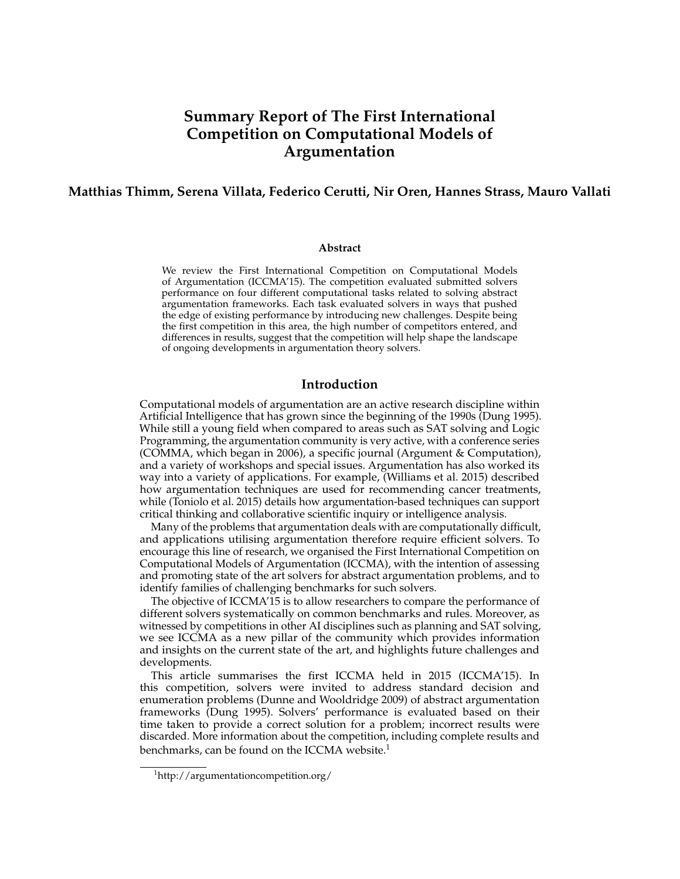# **Summary Report of The First International Competition on Computational Models of Argumentation**

# **Matthias Thimm, Serena Villata, Federico Cerutti, Nir Oren, Hannes Strass, Mauro Vallati**

#### **Abstract**

We review the First International Competition on Computational Models of Argumentation (ICCMA'15). The competition evaluated submitted solvers performance on four different computational tasks related to solving abstract argumentation frameworks. Each task evaluated solvers in ways that pushed the edge of existing performance by introducing new challenges. Despite being the first competition in this area, the high number of competitors entered, and differences in results, suggest that the competition will help shape the landscape of ongoing developments in argumentation theory solvers.

# **Introduction**

Computational models of argumentation are an active research discipline within Artificial Intelligence that has grown since the beginning of the 1990s (Dung 1995). While still a young field when compared to areas such as SAT solving and Logic Programming, the argumentation community is very active, with a conference series (COMMA, which began in 2006), a specific journal (Argument & Computation), and a variety of workshops and special issues. Argumentation has also worked its way into a variety of applications. For example, (Williams et al. 2015) described how argumentation techniques are used for recommending cancer treatments, while (Toniolo et al. 2015) details how argumentation-based techniques can support critical thinking and collaborative scientific inquiry or intelligence analysis.

Many of the problems that argumentation deals with are computationally difficult, and applications utilising argumentation therefore require efficient solvers. To encourage this line of research, we organised the First International Competition on Computational Models of Argumentation (ICCMA), with the intention of assessing and promoting state of the art solvers for abstract argumentation problems, and to identify families of challenging benchmarks for such solvers.

The objective of ICCMA'15 is to allow researchers to compare the performance of different solvers systematically on common benchmarks and rules. Moreover, as witnessed by competitions in other AI disciplines such as planning and SAT solving, we see ICCMA as a new pillar of the community which provides information and insights on the current state of the art, and highlights future challenges and developments.

This article summarises the first ICCMA held in 2015 (ICCMA'15). In this competition, solvers were invited to address standard decision and enumeration problems (Dunne and Wooldridge 2009) of abstract argumentation frameworks (Dung 1995). Solvers' performance is evaluated based on their time taken to provide a correct solution for a problem; incorrect results were discarded. More information about the competition, including complete results and benchmarks, can be found on the ICCMA website. $1$ 

<sup>1</sup>http://argumentationcompetition.org/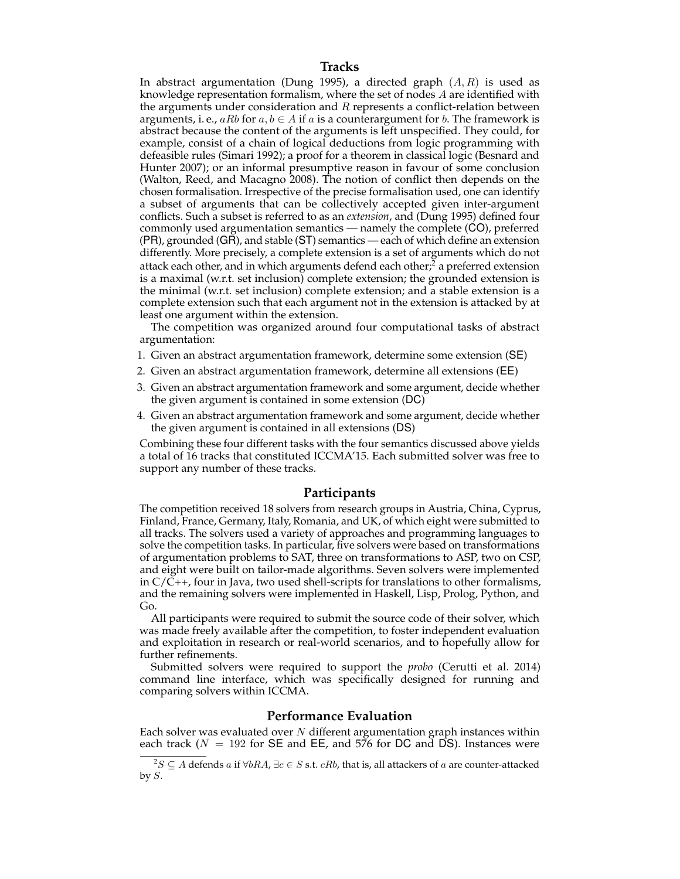In abstract argumentation (Dung 1995), a directed graph  $(A, R)$  is used as knowledge representation formalism, where the set of nodes A are identified with the arguments under consideration and  $R$  represents a conflict-relation between arguments, i. e.,  $aRb$  for  $a, b \in A$  if a is a counterargument for b. The framework is abstract because the content of the arguments is left unspecified. They could, for example, consist of a chain of logical deductions from logic programming with defeasible rules (Simari 1992); a proof for a theorem in classical logic (Besnard and Hunter 2007); or an informal presumptive reason in favour of some conclusion (Walton, Reed, and Macagno 2008). The notion of conflict then depends on the chosen formalisation. Irrespective of the precise formalisation used, one can identify a subset of arguments that can be collectively accepted given inter-argument conflicts. Such a subset is referred to as an *extension*, and (Dung 1995) defined four commonly used argumentation semantics — namely the complete (CO), preferred (PR), grounded (GR), and stable (ST) semantics — each of which define an extension differently. More precisely, a complete extension is a set of arguments which do not attack each other, and in which arguments defend each other; $\alpha$  a preferred extension is a maximal (w.r.t. set inclusion) complete extension; the grounded extension is the minimal (w.r.t. set inclusion) complete extension; and a stable extension is a complete extension such that each argument not in the extension is attacked by at least one argument within the extension.

The competition was organized around four computational tasks of abstract argumentation:

- 1. Given an abstract argumentation framework, determine some extension (SE)
- 2. Given an abstract argumentation framework, determine all extensions (EE)
- 3. Given an abstract argumentation framework and some argument, decide whether the given argument is contained in some extension (DC)
- 4. Given an abstract argumentation framework and some argument, decide whether the given argument is contained in all extensions (DS)

Combining these four different tasks with the four semantics discussed above yields a total of 16 tracks that constituted ICCMA'15. Each submitted solver was free to support any number of these tracks.

# **Participants**

The competition received 18 solvers from research groups in Austria, China, Cyprus, Finland, France, Germany, Italy, Romania, and UK, of which eight were submitted to all tracks. The solvers used a variety of approaches and programming languages to solve the competition tasks. In particular, five solvers were based on transformations of argumentation problems to SAT, three on transformations to ASP, two on CSP, and eight were built on tailor-made algorithms. Seven solvers were implemented in  $C/C++$ , four in Java, two used shell-scripts for translations to other formalisms, and the remaining solvers were implemented in Haskell, Lisp, Prolog, Python, and Go.

All participants were required to submit the source code of their solver, which was made freely available after the competition, to foster independent evaluation and exploitation in research or real-world scenarios, and to hopefully allow for further refinements.

Submitted solvers were required to support the *probo* (Cerutti et al. 2014) command line interface, which was specifically designed for running and comparing solvers within ICCMA.

#### **Performance Evaluation**

Each solver was evaluated over  $N$  different argumentation graph instances within each track ( $N = 192$  for SE and EE, and 576 for DC and DS). Instances were

<sup>&</sup>lt;sup>2</sup>S ⊆ A defends a if ∀bRA,  $\exists c \in S$  s.t. *cRb*, that is, all attackers of a are counter-attacked by  $S$ .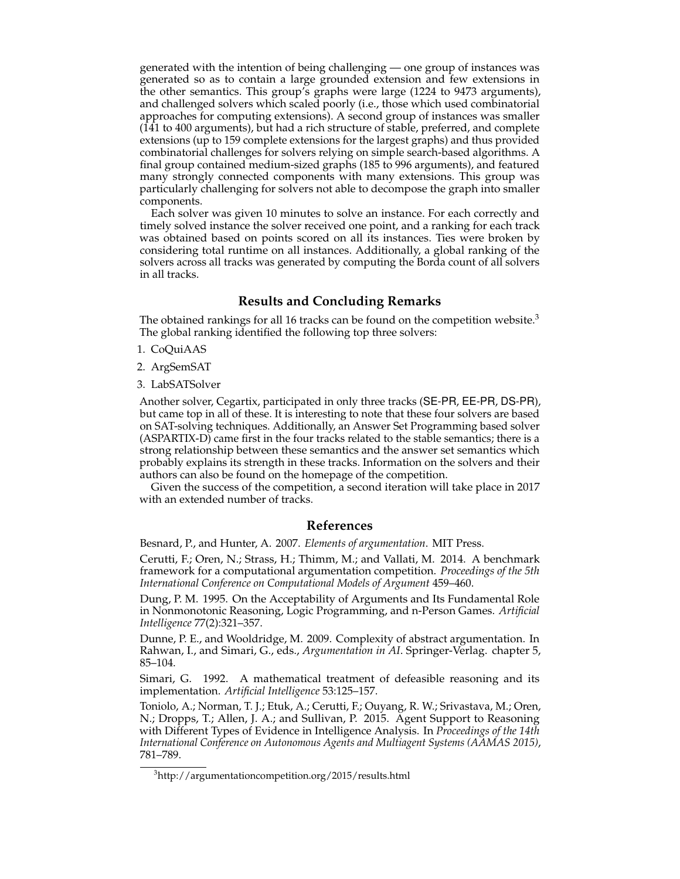generated with the intention of being challenging — one group of instances was generated so as to contain a large grounded extension and few extensions in the other semantics. This group's graphs were large (1224 to 9473 arguments), and challenged solvers which scaled poorly (i.e., those which used combinatorial approaches for computing extensions). A second group of instances was smaller (141 to 400 arguments), but had a rich structure of stable, preferred, and complete extensions (up to 159 complete extensions for the largest graphs) and thus provided combinatorial challenges for solvers relying on simple search-based algorithms. A final group contained medium-sized graphs (185 to 996 arguments), and featured many strongly connected components with many extensions. This group was particularly challenging for solvers not able to decompose the graph into smaller components.

Each solver was given 10 minutes to solve an instance. For each correctly and timely solved instance the solver received one point, and a ranking for each track was obtained based on points scored on all its instances. Ties were broken by considering total runtime on all instances. Additionally, a global ranking of the solvers across all tracks was generated by computing the Borda count of all solvers in all tracks.

## **Results and Concluding Remarks**

The obtained rankings for all 16 tracks can be found on the competition website.<sup>3</sup> The global ranking identified the following top three solvers:

1. CoQuiAAS

2. ArgSemSAT

3. LabSATSolver

Another solver, Cegartix, participated in only three tracks (SE-PR, EE-PR, DS-PR), but came top in all of these. It is interesting to note that these four solvers are based on SAT-solving techniques. Additionally, an Answer Set Programming based solver (ASPARTIX-D) came first in the four tracks related to the stable semantics; there is a strong relationship between these semantics and the answer set semantics which probably explains its strength in these tracks. Information on the solvers and their authors can also be found on the homepage of the competition.

Given the success of the competition, a second iteration will take place in 2017 with an extended number of tracks.

#### **References**

Besnard, P., and Hunter, A. 2007. *Elements of argumentation*. MIT Press.

Cerutti, F.; Oren, N.; Strass, H.; Thimm, M.; and Vallati, M. 2014. A benchmark framework for a computational argumentation competition. *Proceedings of the 5th International Conference on Computational Models of Argument* 459–460.

Dung, P. M. 1995. On the Acceptability of Arguments and Its Fundamental Role in Nonmonotonic Reasoning, Logic Programming, and n-Person Games. *Artificial Intelligence* 77(2):321–357.

Dunne, P. E., and Wooldridge, M. 2009. Complexity of abstract argumentation. In Rahwan, I., and Simari, G., eds., *Argumentation in AI*. Springer-Verlag. chapter 5, 85–104.

Simari, G. 1992. A mathematical treatment of defeasible reasoning and its implementation. *Artificial Intelligence* 53:125–157.

Toniolo, A.; Norman, T. J.; Etuk, A.; Cerutti, F.; Ouyang, R. W.; Srivastava, M.; Oren, N.; Dropps, T.; Allen, J. A.; and Sullivan, P. 2015. Agent Support to Reasoning with Different Types of Evidence in Intelligence Analysis. In *Proceedings of the 14th International Conference on Autonomous Agents and Multiagent Systems (AAMAS 2015)*, 781–789.

<sup>3</sup>http://argumentationcompetition.org/2015/results.html